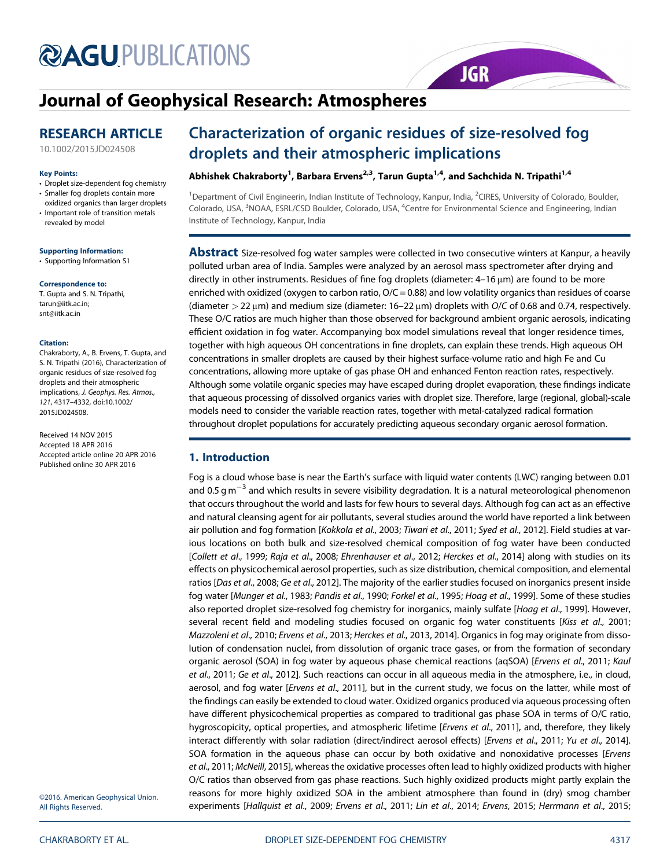# **@AGUPUBLICATIONS**

# Journal of Geophysical Research: Atmospheres

### RESEARCH ARTICLE

10.1002/2015JD024508

#### Key Points:

- Droplet size-dependent fog chemistry
- Smaller fog droplets contain more oxidized organics than larger droplets
- Important role of transition metals revealed by model

#### Supporting Information:

• Supporting Information S1

#### Correspondence to:

T. Gupta and S. N. Tripathi, tarun@iitk.ac.in; snt@iitk.ac.in

#### Citation:

Chakraborty, A., B. Ervens, T. Gupta, and S. N. Tripathi (2016), Characterization of organic residues of size-resolved fog droplets and their atmospheric implications, J. Geophys. Res. Atmos., 121, 4317–4332, doi:10.1002/ 2015JD024508.

Received 14 NOV 2015 Accepted 18 APR 2016 Accepted article online 20 APR 2016 Published online 30 APR 2016

## Characterization of organic residues of size-resolved fog droplets and their atmospheric implications

#### Abhishek Chakraborty<sup>1</sup>, Barbara Ervens<sup>2,3</sup>, Tarun Gupta<sup>1,4</sup>, and Sachchida N. Tripathi<sup>1,4</sup>

<sup>1</sup>Department of Civil Engineerin, Indian Institute of Technology, Kanpur, India, <sup>2</sup>CIRES, University of Colorado, Boulder, Colorado, USA, <sup>3</sup>NOAA, ESRL/CSD Boulder, Colorado, USA, <sup>4</sup>Centre for Environmental Science and Engineering, Indian Institute of Technology, Kanpur, India

**JGR** 

Abstract Size-resolved fog water samples were collected in two consecutive winters at Kanpur, a heavily polluted urban area of India. Samples were analyzed by an aerosol mass spectrometer after drying and directly in other instruments. Residues of fine fog droplets (diameter: 4–16 μm) are found to be more enriched with oxidized (oxygen to carbon ratio,  $O/C = 0.88$ ) and low volatility organics than residues of coarse (diameter  $>$  22  $\mu$ m) and medium size (diameter: 16-22  $\mu$ m) droplets with O/C of 0.68 and 0.74, respectively. These O/C ratios are much higher than those observed for background ambient organic aerosols, indicating efficient oxidation in fog water. Accompanying box model simulations reveal that longer residence times, together with high aqueous OH concentrations in fine droplets, can explain these trends. High aqueous OH concentrations in smaller droplets are caused by their highest surface-volume ratio and high Fe and Cu concentrations, allowing more uptake of gas phase OH and enhanced Fenton reaction rates, respectively. Although some volatile organic species may have escaped during droplet evaporation, these findings indicate that aqueous processing of dissolved organics varies with droplet size. Therefore, large (regional, global)-scale models need to consider the variable reaction rates, together with metal-catalyzed radical formation throughout droplet populations for accurately predicting aqueous secondary organic aerosol formation.

#### 1. Introduction

Fog is a cloud whose base is near the Earth's surface with liquid water contents (LWC) ranging between 0.01 and 0.5 g m<sup>-3</sup> and which results in severe visibility degradation. It is a natural meteorological phenomenon that occurs throughout the world and lasts for few hours to several days. Although fog can act as an effective and natural cleansing agent for air pollutants, several studies around the world have reported a link between air pollution and fog formation [Kokkola et al., 2003; Tiwari et al., 2011; Syed et al., 2012]. Field studies at various locations on both bulk and size-resolved chemical composition of fog water have been conducted [Collett et al., 1999; Raja et al., 2008; Ehrenhauser et al., 2012; Herckes et al., 2014] along with studies on its effects on physicochemical aerosol properties, such as size distribution, chemical composition, and elemental ratios [Das et al., 2008; Ge et al., 2012]. The majority of the earlier studies focused on inorganics present inside fog water [Munger et al., 1983; Pandis et al., 1990; Forkel et al., 1995; Hoag et al., 1999]. Some of these studies also reported droplet size-resolved fog chemistry for inorganics, mainly sulfate [Hoag et al., 1999]. However, several recent field and modeling studies focused on organic fog water constituents [Kiss et al., 2001; Mazzoleni et al., 2010; Ervens et al., 2013; Herckes et al., 2013, 2014]. Organics in fog may originate from dissolution of condensation nuclei, from dissolution of organic trace gases, or from the formation of secondary organic aerosol (SOA) in fog water by aqueous phase chemical reactions (aqSOA) [Ervens et al., 2011; Kaul et al., 2011; Ge et al., 2012]. Such reactions can occur in all aqueous media in the atmosphere, i.e., in cloud, aerosol, and fog water [Ervens et al., 2011], but in the current study, we focus on the latter, while most of the findings can easily be extended to cloud water. Oxidized organics produced via aqueous processing often have different physicochemical properties as compared to traditional gas phase SOA in terms of O/C ratio, hygroscopicity, optical properties, and atmospheric lifetime [Ervens et al., 2011], and, therefore, they likely interact differently with solar radiation (direct/indirect aerosol effects) [Ervens et al., 2011; Yu et al., 2014]. SOA formation in the aqueous phase can occur by both oxidative and nonoxidative processes [Ervens et al., 2011; McNeill, 2015], whereas the oxidative processes often lead to highly oxidized products with higher O/C ratios than observed from gas phase reactions. Such highly oxidized products might partly explain the reasons for more highly oxidized SOA in the ambient atmosphere than found in (dry) smog chamber experiments [Hallquist et al., 2009; Ervens et al., 2011; Lin et al., 2014; Ervens, 2015; Herrmann et al., 2015;

©2016. American Geophysical Union. All Rights Reserved.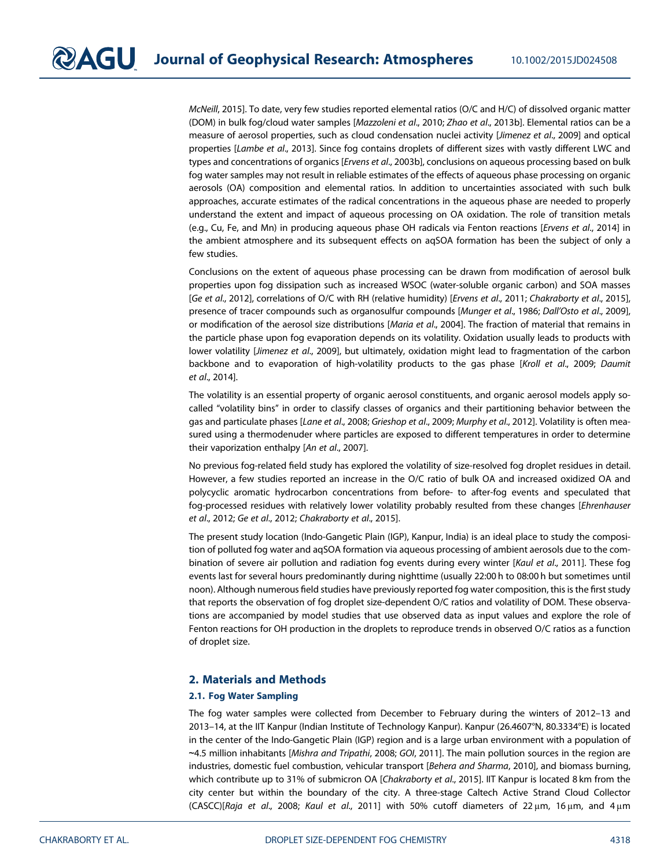McNeill, 2015]. To date, very few studies reported elemental ratios (O/C and H/C) of dissolved organic matter (DOM) in bulk fog/cloud water samples [Mazzoleni et al., 2010; Zhao et al., 2013b]. Elemental ratios can be a measure of aerosol properties, such as cloud condensation nuclei activity [Jimenez et al., 2009] and optical properties [Lambe et al., 2013]. Since fog contains droplets of different sizes with vastly different LWC and types and concentrations of organics [Ervens et al., 2003b], conclusions on aqueous processing based on bulk fog water samples may not result in reliable estimates of the effects of aqueous phase processing on organic aerosols (OA) composition and elemental ratios. In addition to uncertainties associated with such bulk approaches, accurate estimates of the radical concentrations in the aqueous phase are needed to properly understand the extent and impact of aqueous processing on OA oxidation. The role of transition metals (e.g., Cu, Fe, and Mn) in producing aqueous phase OH radicals via Fenton reactions [Ervens et al., 2014] in the ambient atmosphere and its subsequent effects on aqSOA formation has been the subject of only a few studies.

Conclusions on the extent of aqueous phase processing can be drawn from modification of aerosol bulk properties upon fog dissipation such as increased WSOC (water-soluble organic carbon) and SOA masses [Ge et al., 2012], correlations of O/C with RH (relative humidity) [Ervens et al., 2011; Chakraborty et al., 2015], presence of tracer compounds such as organosulfur compounds [Munger et al., 1986; Dall'Osto et al., 2009], or modification of the aerosol size distributions [Maria et al., 2004]. The fraction of material that remains in the particle phase upon fog evaporation depends on its volatility. Oxidation usually leads to products with lower volatility [Jimenez et al., 2009], but ultimately, oxidation might lead to fragmentation of the carbon backbone and to evaporation of high-volatility products to the gas phase [Kroll et al., 2009; Daumit et al., 2014].

The volatility is an essential property of organic aerosol constituents, and organic aerosol models apply socalled "volatility bins" in order to classify classes of organics and their partitioning behavior between the gas and particulate phases [Lane et al., 2008; Grieshop et al., 2009; Murphy et al., 2012]. Volatility is often measured using a thermodenuder where particles are exposed to different temperatures in order to determine their vaporization enthalpy [An et al., 2007].

No previous fog-related field study has explored the volatility of size-resolved fog droplet residues in detail. However, a few studies reported an increase in the O/C ratio of bulk OA and increased oxidized OA and polycyclic aromatic hydrocarbon concentrations from before- to after-fog events and speculated that fog-processed residues with relatively lower volatility probably resulted from these changes [Ehrenhauser et al., 2012; Ge et al., 2012; Chakraborty et al., 2015].

The present study location (Indo-Gangetic Plain (IGP), Kanpur, India) is an ideal place to study the composition of polluted fog water and aqSOA formation via aqueous processing of ambient aerosols due to the combination of severe air pollution and radiation fog events during every winter [Kaul et al., 2011]. These fog events last for several hours predominantly during nighttime (usually 22:00 h to 08:00 h but sometimes until noon). Although numerous field studies have previously reported fog water composition, this is the first study that reports the observation of fog droplet size-dependent O/C ratios and volatility of DOM. These observations are accompanied by model studies that use observed data as input values and explore the role of Fenton reactions for OH production in the droplets to reproduce trends in observed O/C ratios as a function of droplet size.

#### 2. Materials and Methods

#### 2.1. Fog Water Sampling

The fog water samples were collected from December to February during the winters of 2012–13 and 2013–14, at the IIT Kanpur (Indian Institute of Technology Kanpur). Kanpur (26.4607°N, 80.3334°E) is located in the center of the Indo-Gangetic Plain (IGP) region and is a large urban environment with a population of ∼4.5 million inhabitants [Mishra and Tripathi, 2008; GOI, 2011]. The main pollution sources in the region are industries, domestic fuel combustion, vehicular transport [Behera and Sharma, 2010], and biomass burning, which contribute up to 31% of submicron OA [Chakraborty et al., 2015]. IIT Kanpur is located 8 km from the city center but within the boundary of the city. A three-stage Caltech Active Strand Cloud Collector (CASCC)[Raja et al., 2008; Kaul et al., 2011] with 50% cutoff diameters of  $22 \mu m$ , 16  $\mu m$ , and  $4 \mu m$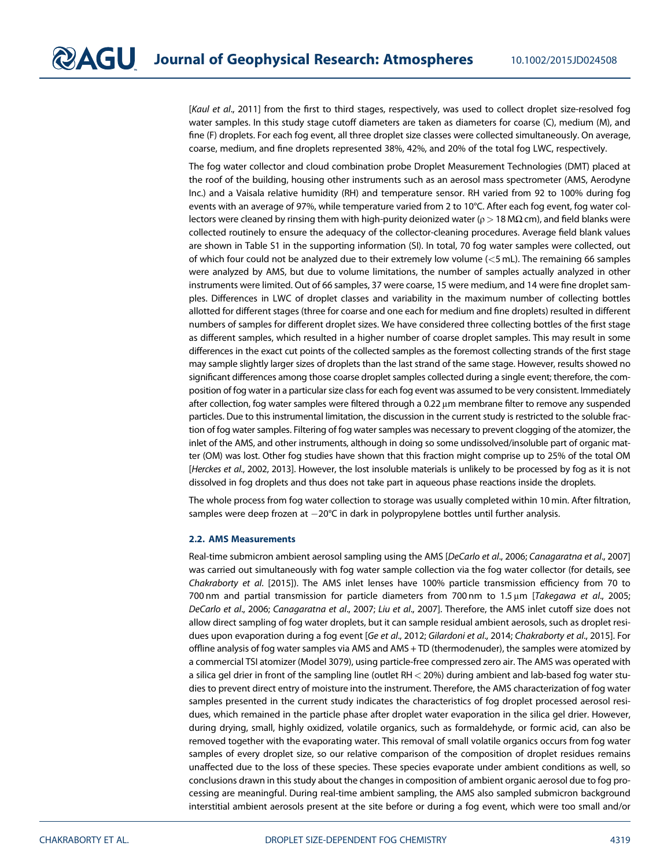[Kaul et al., 2011] from the first to third stages, respectively, was used to collect droplet size-resolved fog water samples. In this study stage cutoff diameters are taken as diameters for coarse (C), medium (M), and fine (F) droplets. For each fog event, all three droplet size classes were collected simultaneously. On average, coarse, medium, and fine droplets represented 38%, 42%, and 20% of the total fog LWC, respectively.

The fog water collector and cloud combination probe Droplet Measurement Technologies (DMT) placed at the roof of the building, housing other instruments such as an aerosol mass spectrometer (AMS, Aerodyne Inc.) and a Vaisala relative humidity (RH) and temperature sensor. RH varied from 92 to 100% during fog events with an average of 97%, while temperature varied from 2 to 10°C. After each fog event, fog water collectors were cleaned by rinsing them with high-purity deionized water ( $ρ$  > 18 MΩ cm), and field blanks were collected routinely to ensure the adequacy of the collector-cleaning procedures. Average field blank values are shown in Table S1 in the supporting information (SI). In total, 70 fog water samples were collected, out of which four could not be analyzed due to their extremely low volume (<5 mL). The remaining 66 samples were analyzed by AMS, but due to volume limitations, the number of samples actually analyzed in other instruments were limited. Out of 66 samples, 37 were coarse, 15 were medium, and 14 were fine droplet samples. Differences in LWC of droplet classes and variability in the maximum number of collecting bottles allotted for different stages (three for coarse and one each for medium and fine droplets) resulted in different numbers of samples for different droplet sizes. We have considered three collecting bottles of the first stage as different samples, which resulted in a higher number of coarse droplet samples. This may result in some differences in the exact cut points of the collected samples as the foremost collecting strands of the first stage may sample slightly larger sizes of droplets than the last strand of the same stage. However, results showed no significant differences among those coarse droplet samples collected during a single event; therefore, the composition of fog water in a particular size class for each fog event was assumed to be very consistent. Immediately after collection, fog water samples were filtered through a 0.22 μm membrane filter to remove any suspended particles. Due to this instrumental limitation, the discussion in the current study is restricted to the soluble fraction of fog water samples. Filtering of fog water samples was necessary to prevent clogging of the atomizer, the inlet of the AMS, and other instruments, although in doing so some undissolved/insoluble part of organic matter (OM) was lost. Other fog studies have shown that this fraction might comprise up to 25% of the total OM [Herckes et al., 2002, 2013]. However, the lost insoluble materials is unlikely to be processed by fog as it is not dissolved in fog droplets and thus does not take part in aqueous phase reactions inside the droplets.

The whole process from fog water collection to storage was usually completed within 10 min. After filtration, samples were deep frozen at  $-20^{\circ}$ C in dark in polypropylene bottles until further analysis.

#### 2.2. AMS Measurements

Real-time submicron ambient aerosol sampling using the AMS [DeCarlo et al., 2006; Canagaratna et al., 2007] was carried out simultaneously with fog water sample collection via the fog water collector (for details, see Chakraborty et al. [2015]). The AMS inlet lenses have 100% particle transmission efficiency from 70 to 700 nm and partial transmission for particle diameters from 700 nm to 1.5 μm [Takegawa et al., 2005; DeCarlo et al., 2006; Canagaratna et al., 2007; Liu et al., 2007]. Therefore, the AMS inlet cutoff size does not allow direct sampling of fog water droplets, but it can sample residual ambient aerosols, such as droplet residues upon evaporation during a fog event [Ge et al., 2012; Gilardoni et al., 2014; Chakraborty et al., 2015]. For offline analysis of fog water samples via AMS and AMS + TD (thermodenuder), the samples were atomized by a commercial TSI atomizer (Model 3079), using particle-free compressed zero air. The AMS was operated with a silica gel drier in front of the sampling line (outlet RH < 20%) during ambient and lab-based fog water studies to prevent direct entry of moisture into the instrument. Therefore, the AMS characterization of fog water samples presented in the current study indicates the characteristics of fog droplet processed aerosol residues, which remained in the particle phase after droplet water evaporation in the silica gel drier. However, during drying, small, highly oxidized, volatile organics, such as formaldehyde, or formic acid, can also be removed together with the evaporating water. This removal of small volatile organics occurs from fog water samples of every droplet size, so our relative comparison of the composition of droplet residues remains unaffected due to the loss of these species. These species evaporate under ambient conditions as well, so conclusions drawn in this study about the changes in composition of ambient organic aerosol due to fog processing are meaningful. During real-time ambient sampling, the AMS also sampled submicron background interstitial ambient aerosols present at the site before or during a fog event, which were too small and/or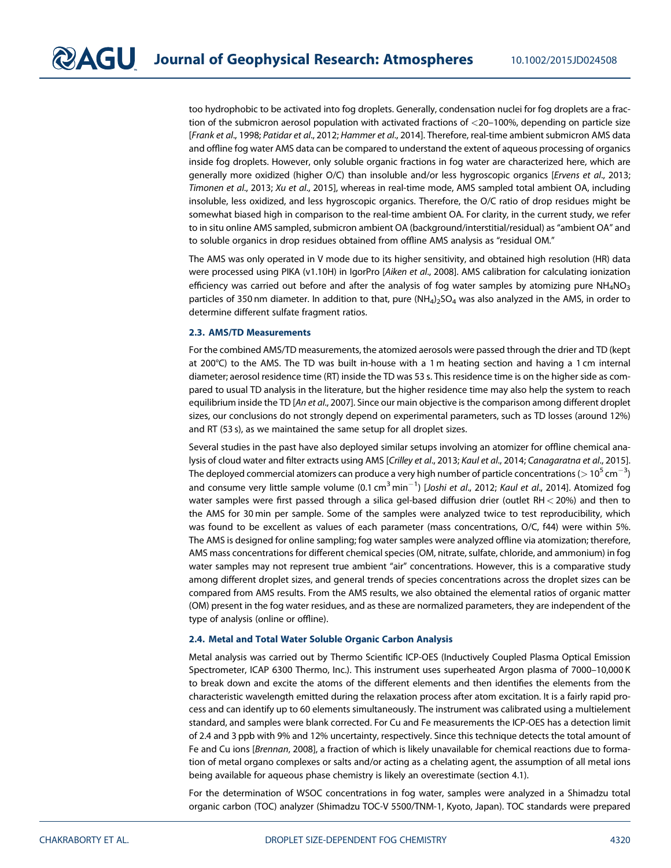too hydrophobic to be activated into fog droplets. Generally, condensation nuclei for fog droplets are a fraction of the submicron aerosol population with activated fractions of <20–100%, depending on particle size [Frank et al., 1998; Patidar et al., 2012; Hammer et al., 2014]. Therefore, real-time ambient submicron AMS data and offline fog water AMS data can be compared to understand the extent of aqueous processing of organics inside fog droplets. However, only soluble organic fractions in fog water are characterized here, which are generally more oxidized (higher O/C) than insoluble and/or less hygroscopic organics [Ervens et al., 2013; Timonen et al., 2013; Xu et al., 2015], whereas in real-time mode, AMS sampled total ambient OA, including insoluble, less oxidized, and less hygroscopic organics. Therefore, the O/C ratio of drop residues might be somewhat biased high in comparison to the real-time ambient OA. For clarity, in the current study, we refer to in situ online AMS sampled, submicron ambient OA (background/interstitial/residual) as "ambient OA" and to soluble organics in drop residues obtained from offline AMS analysis as "residual OM."

The AMS was only operated in V mode due to its higher sensitivity, and obtained high resolution (HR) data were processed using PIKA (v1.10H) in IgorPro [Aiken et al., 2008]. AMS calibration for calculating ionization efficiency was carried out before and after the analysis of fog water samples by atomizing pure  $NH_4NO_3$ particles of 350 nm diameter. In addition to that, pure  $(NH_4)_2SO_4$  was also analyzed in the AMS, in order to determine different sulfate fragment ratios.

#### 2.3. AMS/TD Measurements

For the combined AMS/TD measurements, the atomized aerosols were passed through the drier and TD (kept at 200°C) to the AMS. The TD was built in-house with a 1 m heating section and having a 1 cm internal diameter; aerosol residence time (RT) inside the TD was 53 s. This residence time is on the higher side as compared to usual TD analysis in the literature, but the higher residence time may also help the system to reach equilibrium inside the TD [An et al., 2007]. Since our main objective is the comparison among different droplet sizes, our conclusions do not strongly depend on experimental parameters, such as TD losses (around 12%) and RT (53 s), as we maintained the same setup for all droplet sizes.

Several studies in the past have also deployed similar setups involving an atomizer for offline chemical analysis of cloud water and filter extracts using AMS [Crilley et al., 2013; Kaul et al., 2014; Canagaratna et al., 2015]. The deployed commercial atomizers can produce a very high number of particle concentrations ( $>$  10 $^5$  cm $^{-3})$ and consume very little sample volume (0.1 cm $^3$ min $^{-1}$ ) [Joshi *et al.*, 2012; *Kaul et al.*, 2014]. Atomized fog water samples were first passed through a silica gel-based diffusion drier (outlet RH < 20%) and then to the AMS for 30 min per sample. Some of the samples were analyzed twice to test reproducibility, which was found to be excellent as values of each parameter (mass concentrations, O/C, f44) were within 5%. The AMS is designed for online sampling; fog water samples were analyzed offline via atomization; therefore, AMS mass concentrations for different chemical species (OM, nitrate, sulfate, chloride, and ammonium) in fog water samples may not represent true ambient "air" concentrations. However, this is a comparative study among different droplet sizes, and general trends of species concentrations across the droplet sizes can be compared from AMS results. From the AMS results, we also obtained the elemental ratios of organic matter (OM) present in the fog water residues, and as these are normalized parameters, they are independent of the type of analysis (online or offline).

#### 2.4. Metal and Total Water Soluble Organic Carbon Analysis

Metal analysis was carried out by Thermo Scientific ICP-OES (Inductively Coupled Plasma Optical Emission Spectrometer, ICAP 6300 Thermo, Inc.). This instrument uses superheated Argon plasma of 7000–10,000 K to break down and excite the atoms of the different elements and then identifies the elements from the characteristic wavelength emitted during the relaxation process after atom excitation. It is a fairly rapid process and can identify up to 60 elements simultaneously. The instrument was calibrated using a multielement standard, and samples were blank corrected. For Cu and Fe measurements the ICP-OES has a detection limit of 2.4 and 3 ppb with 9% and 12% uncertainty, respectively. Since this technique detects the total amount of Fe and Cu ions [Brennan, 2008], a fraction of which is likely unavailable for chemical reactions due to formation of metal organo complexes or salts and/or acting as a chelating agent, the assumption of all metal ions being available for aqueous phase chemistry is likely an overestimate (section 4.1).

For the determination of WSOC concentrations in fog water, samples were analyzed in a Shimadzu total organic carbon (TOC) analyzer (Shimadzu TOC-V 5500/TNM-1, Kyoto, Japan). TOC standards were prepared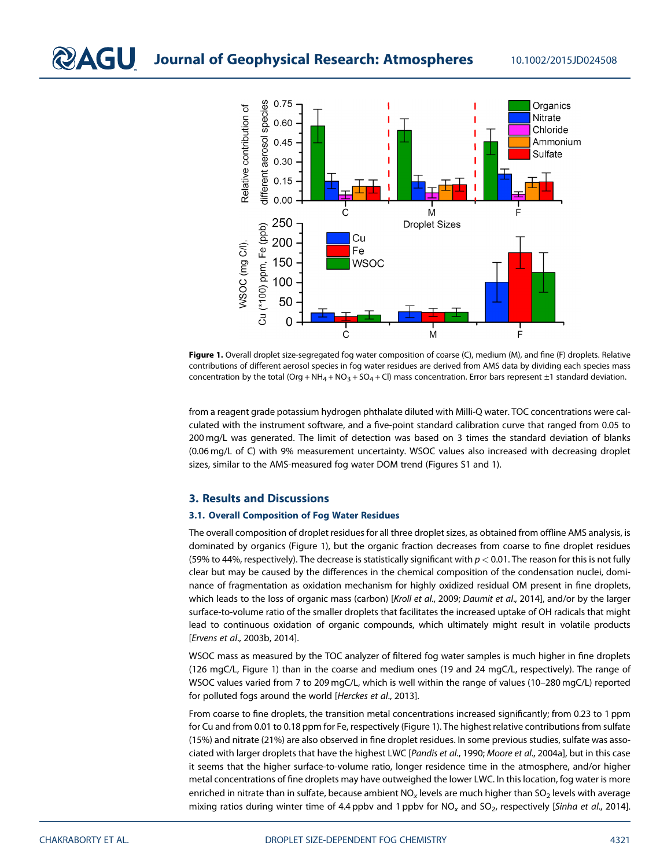

Figure 1. Overall droplet size-segregated fog water composition of coarse (C), medium (M), and fine (F) droplets. Relative contributions of different aerosol species in fog water residues are derived from AMS data by dividing each species mass concentration by the total (Org + NH<sub>4</sub> + NO<sub>3</sub> + SO<sub>4</sub> + Cl) mass concentration. Error bars represent  $\pm 1$  standard deviation.

from a reagent grade potassium hydrogen phthalate diluted with Milli-Q water. TOC concentrations were calculated with the instrument software, and a five-point standard calibration curve that ranged from 0.05 to 200 mg/L was generated. The limit of detection was based on 3 times the standard deviation of blanks (0.06 mg/L of C) with 9% measurement uncertainty. WSOC values also increased with decreasing droplet sizes, similar to the AMS-measured fog water DOM trend (Figures S1 and 1).

#### 3. Results and Discussions

#### 3.1. Overall Composition of Fog Water Residues

The overall composition of droplet residues for all three droplet sizes, as obtained from offline AMS analysis, is dominated by organics (Figure 1), but the organic fraction decreases from coarse to fine droplet residues (59% to 44%, respectively). The decrease is statistically significant with  $p < 0.01$ . The reason for this is not fully clear but may be caused by the differences in the chemical composition of the condensation nuclei, dominance of fragmentation as oxidation mechanism for highly oxidized residual OM present in fine droplets, which leads to the loss of organic mass (carbon) [Kroll et al., 2009; Daumit et al., 2014], and/or by the larger surface-to-volume ratio of the smaller droplets that facilitates the increased uptake of OH radicals that might lead to continuous oxidation of organic compounds, which ultimately might result in volatile products [Ervens et al., 2003b, 2014].

WSOC mass as measured by the TOC analyzer of filtered fog water samples is much higher in fine droplets (126 mgC/L, Figure 1) than in the coarse and medium ones (19 and 24 mgC/L, respectively). The range of WSOC values varied from 7 to 209 mgC/L, which is well within the range of values (10–280 mgC/L) reported for polluted fogs around the world [Herckes et al., 2013].

From coarse to fine droplets, the transition metal concentrations increased significantly; from 0.23 to 1 ppm for Cu and from 0.01 to 0.18 ppm for Fe, respectively (Figure 1). The highest relative contributions from sulfate (15%) and nitrate (21%) are also observed in fine droplet residues. In some previous studies, sulfate was associated with larger droplets that have the highest LWC [Pandis et al., 1990; Moore et al., 2004a], but in this case it seems that the higher surface-to-volume ratio, longer residence time in the atmosphere, and/or higher metal concentrations of fine droplets may have outweighed the lower LWC. In this location, fog water is more enriched in nitrate than in sulfate, because ambient  $NO<sub>x</sub>$  levels are much higher than  $SO<sub>2</sub>$  levels with average mixing ratios during winter time of 4.4 ppbv and 1 ppbv for  $NO<sub>x</sub>$  and  $SO<sub>2</sub>$ , respectively [Sinha et al., 2014].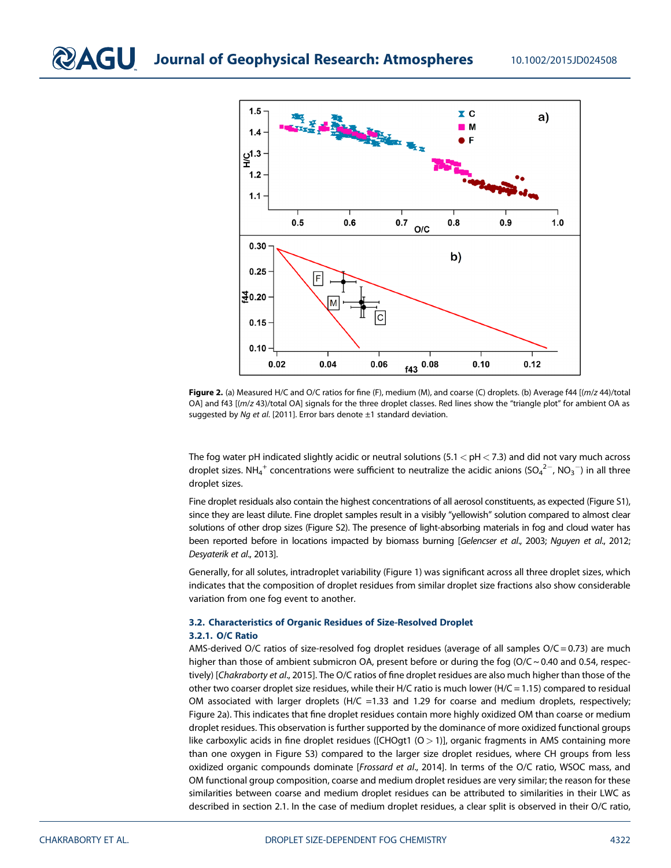

Figure 2. (a) Measured H/C and O/C ratios for fine (F), medium (M), and coarse (C) droplets. (b) Average f44 [(m/z 44)/total OA] and f43 [(m/z 43)/total OA] signals for the three droplet classes. Red lines show the "triangle plot" for ambient OA as suggested by Ng et al. [2011]. Error bars denote  $\pm 1$  standard deviation.

The fog water pH indicated slightly acidic or neutral solutions (5.1  $<$  pH  $<$  7.3) and did not vary much across droplet sizes. NH $_4^+$  concentrations were sufficient to neutralize the acidic anions (SO $_4^{2-}$ , NO $_3^{-}$ ) in all three droplet sizes.

Fine droplet residuals also contain the highest concentrations of all aerosol constituents, as expected (Figure S1), since they are least dilute. Fine droplet samples result in a visibly "yellowish" solution compared to almost clear solutions of other drop sizes (Figure S2). The presence of light-absorbing materials in fog and cloud water has been reported before in locations impacted by biomass burning [Gelencser et al., 2003; Nguyen et al., 2012; Desyaterik et al., 2013].

Generally, for all solutes, intradroplet variability (Figure 1) was significant across all three droplet sizes, which indicates that the composition of droplet residues from similar droplet size fractions also show considerable variation from one fog event to another.

#### 3.2. Characteristics of Organic Residues of Size-Resolved Droplet 3.2.1. O/C Ratio

AMS-derived O/C ratios of size-resolved fog droplet residues (average of all samples  $O/C = 0.73$ ) are much higher than those of ambient submicron OA, present before or during the fog (O/C ~ 0.40 and 0.54, respectively) [Chakraborty et al., 2015]. The O/C ratios of fine droplet residues are also much higher than those of the other two coarser droplet size residues, while their H/C ratio is much lower (H/C = 1.15) compared to residual OM associated with larger droplets (H/C =1.33 and 1.29 for coarse and medium droplets, respectively; Figure 2a). This indicates that fine droplet residues contain more highly oxidized OM than coarse or medium droplet residues. This observation is further supported by the dominance of more oxidized functional groups like carboxylic acids in fine droplet residues ([CHOgt1  $(O > 1)$ ], organic fragments in AMS containing more than one oxygen in Figure S3) compared to the larger size droplet residues, where CH groups from less oxidized organic compounds dominate [Frossard et al., 2014]. In terms of the O/C ratio, WSOC mass, and OM functional group composition, coarse and medium droplet residues are very similar; the reason for these similarities between coarse and medium droplet residues can be attributed to similarities in their LWC as described in section 2.1. In the case of medium droplet residues, a clear split is observed in their O/C ratio,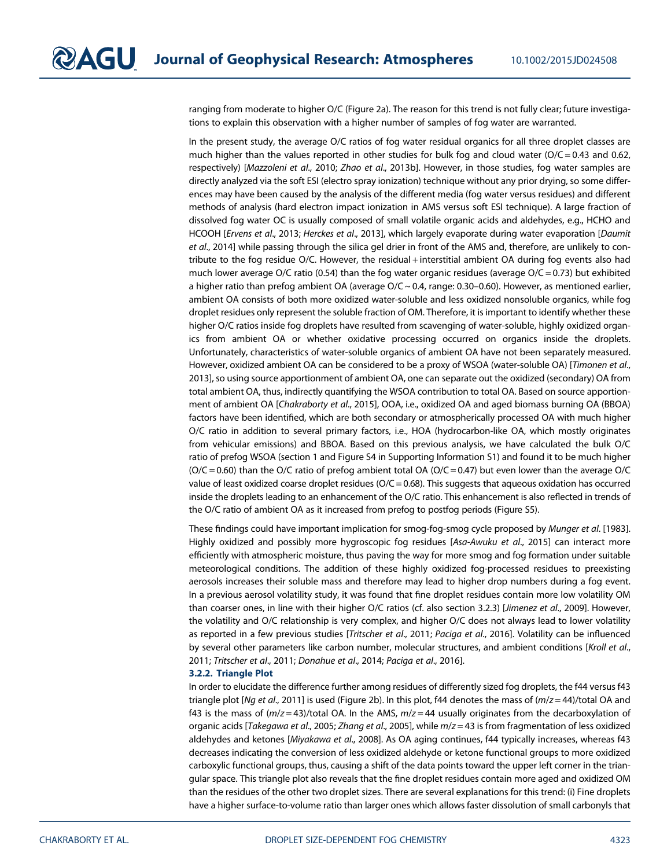ranging from moderate to higher O/C (Figure 2a). The reason for this trend is not fully clear; future investigations to explain this observation with a higher number of samples of fog water are warranted.

In the present study, the average O/C ratios of fog water residual organics for all three droplet classes are much higher than the values reported in other studies for bulk fog and cloud water  $(O/C = 0.43$  and 0.62, respectively) [Mazzoleni et al., 2010; Zhao et al., 2013b]. However, in those studies, fog water samples are directly analyzed via the soft ESI (electro spray ionization) technique without any prior drying, so some differences may have been caused by the analysis of the different media (fog water versus residues) and different methods of analysis (hard electron impact ionization in AMS versus soft ESI technique). A large fraction of dissolved fog water OC is usually composed of small volatile organic acids and aldehydes, e.g., HCHO and HCOOH [Ervens et al., 2013; Herckes et al., 2013], which largely evaporate during water evaporation [Daumit et al., 2014] while passing through the silica gel drier in front of the AMS and, therefore, are unlikely to contribute to the fog residue O/C. However, the residual + interstitial ambient OA during fog events also had much lower average O/C ratio (0.54) than the fog water organic residues (average  $O/C = 0.73$ ) but exhibited a higher ratio than prefog ambient OA (average  $O/C \sim 0.4$ , range: 0.30–0.60). However, as mentioned earlier, ambient OA consists of both more oxidized water-soluble and less oxidized nonsoluble organics, while fog droplet residues only represent the soluble fraction of OM. Therefore, it is important to identify whether these higher O/C ratios inside fog droplets have resulted from scavenging of water-soluble, highly oxidized organics from ambient OA or whether oxidative processing occurred on organics inside the droplets. Unfortunately, characteristics of water-soluble organics of ambient OA have not been separately measured. However, oxidized ambient OA can be considered to be a proxy of WSOA (water-soluble OA) [Timonen et al., 2013], so using source apportionment of ambient OA, one can separate out the oxidized (secondary) OA from total ambient OA, thus, indirectly quantifying the WSOA contribution to total OA. Based on source apportionment of ambient OA [Chakraborty et al., 2015], OOA, i.e., oxidized OA and aged biomass burning OA (BBOA) factors have been identified, which are both secondary or atmospherically processed OA with much higher O/C ratio in addition to several primary factors, i.e., HOA (hydrocarbon-like OA, which mostly originates from vehicular emissions) and BBOA. Based on this previous analysis, we have calculated the bulk O/C ratio of prefog WSOA (section 1 and Figure S4 in Supporting Information S1) and found it to be much higher  $(O/C = 0.60)$  than the O/C ratio of prefog ambient total OA  $(O/C = 0.47)$  but even lower than the average O/C value of least oxidized coarse droplet residues (O/C = 0.68). This suggests that aqueous oxidation has occurred inside the droplets leading to an enhancement of the O/C ratio. This enhancement is also reflected in trends of the O/C ratio of ambient OA as it increased from prefog to postfog periods (Figure S5).

These findings could have important implication for smog-fog-smog cycle proposed by Munger et al. [1983]. Highly oxidized and possibly more hygroscopic fog residues [Asa-Awuku et al., 2015] can interact more efficiently with atmospheric moisture, thus paving the way for more smog and fog formation under suitable meteorological conditions. The addition of these highly oxidized fog-processed residues to preexisting aerosols increases their soluble mass and therefore may lead to higher drop numbers during a fog event. In a previous aerosol volatility study, it was found that fine droplet residues contain more low volatility OM than coarser ones, in line with their higher O/C ratios (cf. also section 3.2.3) [Jimenez et al., 2009]. However, the volatility and O/C relationship is very complex, and higher O/C does not always lead to lower volatility as reported in a few previous studies [Tritscher et al., 2011; Paciga et al., 2016]. Volatility can be influenced by several other parameters like carbon number, molecular structures, and ambient conditions [Kroll et al., 2011; Tritscher et al., 2011; Donahue et al., 2014; Paciga et al., 2016].

#### 3.2.2. Triangle Plot

In order to elucidate the difference further among residues of differently sized fog droplets, the f44 versus f43 triangle plot [Ng et al., 2011] is used (Figure 2b). In this plot, f44 denotes the mass of  $(m/z = 44)$ /total OA and f43 is the mass of  $(m/z = 43)$ /total OA. In the AMS,  $m/z = 44$  usually originates from the decarboxylation of organic acids [Takegawa et al., 2005; Zhang et al., 2005], while m/z = 43 is from fragmentation of less oxidized aldehydes and ketones [Miyakawa et al., 2008]. As OA aging continues, f44 typically increases, whereas f43 decreases indicating the conversion of less oxidized aldehyde or ketone functional groups to more oxidized carboxylic functional groups, thus, causing a shift of the data points toward the upper left corner in the triangular space. This triangle plot also reveals that the fine droplet residues contain more aged and oxidized OM than the residues of the other two droplet sizes. There are several explanations for this trend: (i) Fine droplets have a higher surface-to-volume ratio than larger ones which allows faster dissolution of small carbonyls that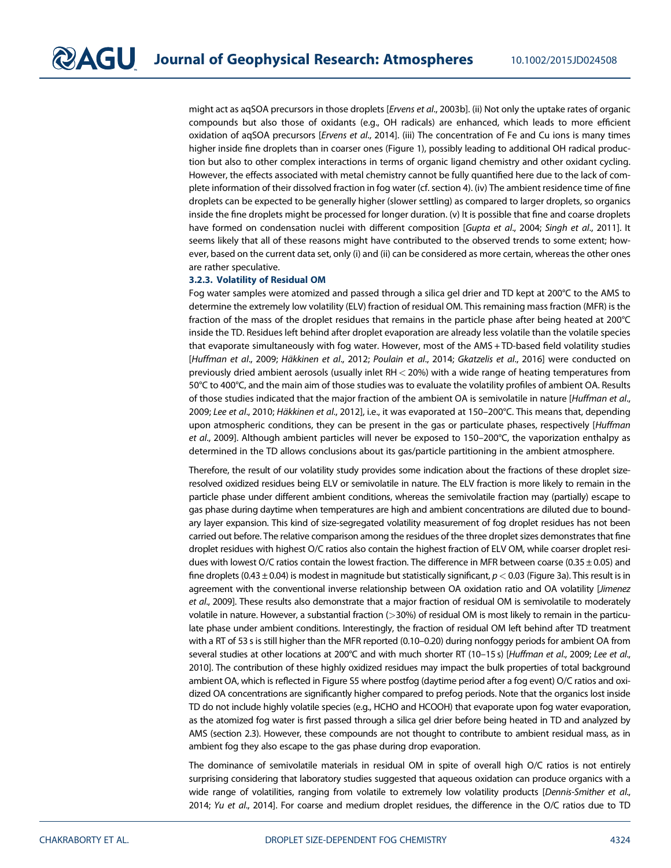might act as aqSOA precursors in those droplets [Ervens et al., 2003b]. (ii) Not only the uptake rates of organic compounds but also those of oxidants (e.g., OH radicals) are enhanced, which leads to more efficient oxidation of aqSOA precursors [Ervens et al., 2014]. (iii) The concentration of Fe and Cu ions is many times higher inside fine droplets than in coarser ones (Figure 1), possibly leading to additional OH radical production but also to other complex interactions in terms of organic ligand chemistry and other oxidant cycling. However, the effects associated with metal chemistry cannot be fully quantified here due to the lack of complete information of their dissolved fraction in fog water (cf. section 4). (iv) The ambient residence time of fine droplets can be expected to be generally higher (slower settling) as compared to larger droplets, so organics inside the fine droplets might be processed for longer duration. (v) It is possible that fine and coarse droplets have formed on condensation nuclei with different composition [Gupta et al., 2004; Singh et al., 2011]. It seems likely that all of these reasons might have contributed to the observed trends to some extent; however, based on the current data set, only (i) and (ii) can be considered as more certain, whereas the other ones are rather speculative.

#### 3.2.3. Volatility of Residual OM

Fog water samples were atomized and passed through a silica gel drier and TD kept at 200°C to the AMS to determine the extremely low volatility (ELV) fraction of residual OM. This remaining mass fraction (MFR) is the fraction of the mass of the droplet residues that remains in the particle phase after being heated at 200°C inside the TD. Residues left behind after droplet evaporation are already less volatile than the volatile species that evaporate simultaneously with fog water. However, most of the AMS + TD-based field volatility studies [Huffman et al., 2009; Häkkinen et al., 2012; Poulain et al., 2014; Gkatzelis et al., 2016] were conducted on previously dried ambient aerosols (usually inlet RH < 20%) with a wide range of heating temperatures from 50°C to 400°C, and the main aim of those studies was to evaluate the volatility profiles of ambient OA. Results of those studies indicated that the major fraction of the ambient OA is semivolatile in nature [Huffman et al., 2009; Lee et al., 2010; Häkkinen et al., 2012], i.e., it was evaporated at 150–200°C. This means that, depending upon atmospheric conditions, they can be present in the gas or particulate phases, respectively [Huffman] et al., 2009]. Although ambient particles will never be exposed to 150–200°C, the vaporization enthalpy as determined in the TD allows conclusions about its gas/particle partitioning in the ambient atmosphere.

Therefore, the result of our volatility study provides some indication about the fractions of these droplet sizeresolved oxidized residues being ELV or semivolatile in nature. The ELV fraction is more likely to remain in the particle phase under different ambient conditions, whereas the semivolatile fraction may (partially) escape to gas phase during daytime when temperatures are high and ambient concentrations are diluted due to boundary layer expansion. This kind of size-segregated volatility measurement of fog droplet residues has not been carried out before. The relative comparison among the residues of the three droplet sizes demonstrates that fine droplet residues with highest O/C ratios also contain the highest fraction of ELV OM, while coarser droplet residues with lowest O/C ratios contain the lowest fraction. The difference in MFR between coarse (0.35 ± 0.05) and fine droplets (0.43  $\pm$  0.04) is modest in magnitude but statistically significant,  $p < 0.03$  (Figure 3a). This result is in agreement with the conventional inverse relationship between OA oxidation ratio and OA volatility [Jimenez et al., 2009]. These results also demonstrate that a major fraction of residual OM is semivolatile to moderately volatile in nature. However, a substantial fraction (>30%) of residual OM is most likely to remain in the particulate phase under ambient conditions. Interestingly, the fraction of residual OM left behind after TD treatment with a RT of 53 s is still higher than the MFR reported (0.10–0.20) during nonfoggy periods for ambient OA from several studies at other locations at 200°C and with much shorter RT (10-15 s) [Huffman et al., 2009; Lee et al., 2010]. The contribution of these highly oxidized residues may impact the bulk properties of total background ambient OA, which is reflected in Figure S5 where postfog (daytime period after a fog event) O/C ratios and oxidized OA concentrations are significantly higher compared to prefog periods. Note that the organics lost inside TD do not include highly volatile species (e.g., HCHO and HCOOH) that evaporate upon fog water evaporation, as the atomized fog water is first passed through a silica gel drier before being heated in TD and analyzed by AMS (section 2.3). However, these compounds are not thought to contribute to ambient residual mass, as in ambient fog they also escape to the gas phase during drop evaporation.

The dominance of semivolatile materials in residual OM in spite of overall high O/C ratios is not entirely surprising considering that laboratory studies suggested that aqueous oxidation can produce organics with a wide range of volatilities, ranging from volatile to extremely low volatility products [Dennis-Smither et al., 2014; Yu et al., 2014]. For coarse and medium droplet residues, the difference in the O/C ratios due to TD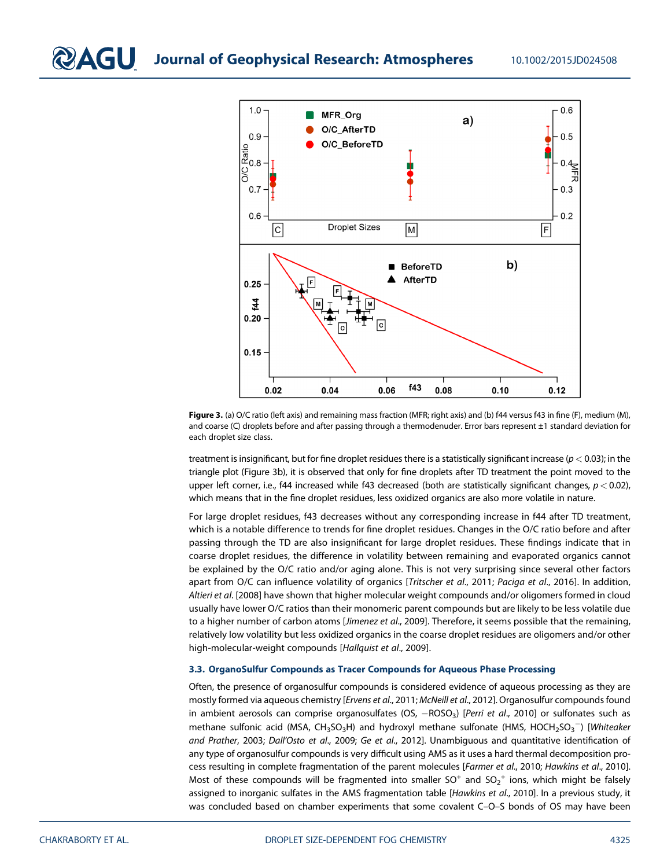

Figure 3. (a) O/C ratio (left axis) and remaining mass fraction (MFR; right axis) and (b) f44 versus f43 in fine (F), medium (M), and coarse (C) droplets before and after passing through a thermodenuder. Error bars represent ±1 standard deviation for each droplet size class.

treatment is insignificant, but for fine droplet residues there is a statistically significant increase ( $p < 0.03$ ); in the triangle plot (Figure 3b), it is observed that only for fine droplets after TD treatment the point moved to the upper left corner, i.e., f44 increased while f43 decreased (both are statistically significant changes,  $p < 0.02$ ), which means that in the fine droplet residues, less oxidized organics are also more volatile in nature.

For large droplet residues, f43 decreases without any corresponding increase in f44 after TD treatment, which is a notable difference to trends for fine droplet residues. Changes in the O/C ratio before and after passing through the TD are also insignificant for large droplet residues. These findings indicate that in coarse droplet residues, the difference in volatility between remaining and evaporated organics cannot be explained by the O/C ratio and/or aging alone. This is not very surprising since several other factors apart from O/C can influence volatility of organics [Tritscher et al., 2011; Paciga et al., 2016]. In addition, Altieri et al. [2008] have shown that higher molecular weight compounds and/or oligomers formed in cloud usually have lower O/C ratios than their monomeric parent compounds but are likely to be less volatile due to a higher number of carbon atoms [Jimenez et al., 2009]. Therefore, it seems possible that the remaining, relatively low volatility but less oxidized organics in the coarse droplet residues are oligomers and/or other high-molecular-weight compounds [Hallquist et al., 2009].

#### 3.3. OrganoSulfur Compounds as Tracer Compounds for Aqueous Phase Processing

Often, the presence of organosulfur compounds is considered evidence of aqueous processing as they are mostly formed via aqueous chemistry [Ervens et al., 2011; McNeill et al., 2012]. Organosulfur compounds found in ambient aerosols can comprise organosulfates (OS,  $-ROSO<sub>3</sub>$ ) [Perri et al., 2010] or sulfonates such as methane sulfonic acid (MSA, CH<sub>3</sub>SO<sub>3</sub>H) and hydroxyl methane sulfonate (HMS, HOCH<sub>2</sub>SO<sub>3</sub> $^-$ ) [Whiteaker and Prather, 2003; Dall'Osto et al., 2009; Ge et al., 2012]. Unambiguous and quantitative identification of any type of organosulfur compounds is very difficult using AMS as it uses a hard thermal decomposition process resulting in complete fragmentation of the parent molecules [Farmer et al., 2010; Hawkins et al., 2010]. Most of these compounds will be fragmented into smaller SO<sup>+</sup> and SO<sub>2</sub><sup>+</sup> ions, which might be falsely assigned to inorganic sulfates in the AMS fragmentation table [Hawkins et al., 2010]. In a previous study, it was concluded based on chamber experiments that some covalent C-O-S bonds of OS may have been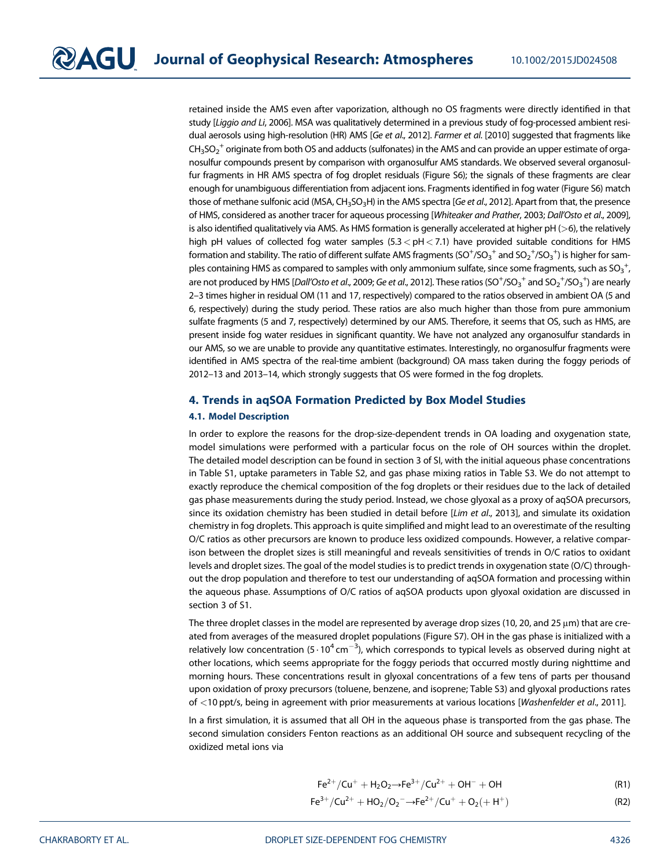retained inside the AMS even after vaporization, although no OS fragments were directly identified in that study [Liggio and Li, 2006]. MSA was qualitatively determined in a previous study of fog-processed ambient residual aerosols using high-resolution (HR) AMS [Ge et al., 2012]. Farmer et al. [2010] suggested that fragments like  $\text{CH}_3\text{SO}_2^+$  originate from both OS and adducts (sulfonates) in the AMS and can provide an upper estimate of organosulfur compounds present by comparison with organosulfur AMS standards. We observed several organosulfur fragments in HR AMS spectra of fog droplet residuals (Figure S6); the signals of these fragments are clear enough for unambiguous differentiation from adjacent ions. Fragments identified in fog water (Figure S6) match those of methane sulfonic acid (MSA, CH<sub>3</sub>SO<sub>3</sub>H) in the AMS spectra [Ge et al., 2012]. Apart from that, the presence of HMS, considered as another tracer for aqueous processing [Whiteaker and Prather, 2003; Dall'Osto et al., 2009], is also identified qualitatively via AMS. As HMS formation is generally accelerated at higher  $pH$  ( $>6$ ), the relatively high pH values of collected fog water samples  $(5.3 < pH < 7.1)$  have provided suitable conditions for HMS formation and stability. The ratio of different sulfate AMS fragments (SO $^+$ /SO $_3^+$  and SO $_2^+$ /SO $_3^+$ ) is higher for samples containing HMS as compared to samples with only ammonium sulfate, since some fragments, such as SO $_3^{\,+}$ , are not produced by HMS [*Dall'Osto et al.,* 2009; Ge et al., 2012]. These ratios (SO<sup>+</sup>/SO<sub>3</sub><sup>+</sup> and SO<sub>2</sub><sup>+</sup>/SO<sub>3</sub><sup>+</sup>) are nearly 2–3 times higher in residual OM (11 and 17, respectively) compared to the ratios observed in ambient OA (5 and 6, respectively) during the study period. These ratios are also much higher than those from pure ammonium sulfate fragments (5 and 7, respectively) determined by our AMS. Therefore, it seems that OS, such as HMS, are present inside fog water residues in significant quantity. We have not analyzed any organosulfur standards in our AMS, so we are unable to provide any quantitative estimates. Interestingly, no organosulfur fragments were identified in AMS spectra of the real-time ambient (background) OA mass taken during the foggy periods of 2012–13 and 2013–14, which strongly suggests that OS were formed in the fog droplets.

#### 4. Trends in aqSOA Formation Predicted by Box Model Studies

#### 4.1. Model Description

In order to explore the reasons for the drop-size-dependent trends in OA loading and oxygenation state, model simulations were performed with a particular focus on the role of OH sources within the droplet. The detailed model description can be found in section 3 of SI, with the initial aqueous phase concentrations in Table S1, uptake parameters in Table S2, and gas phase mixing ratios in Table S3. We do not attempt to exactly reproduce the chemical composition of the fog droplets or their residues due to the lack of detailed gas phase measurements during the study period. Instead, we chose glyoxal as a proxy of aqSOA precursors, since its oxidation chemistry has been studied in detail before [Lim et al., 2013], and simulate its oxidation chemistry in fog droplets. This approach is quite simplified and might lead to an overestimate of the resulting O/C ratios as other precursors are known to produce less oxidized compounds. However, a relative comparison between the droplet sizes is still meaningful and reveals sensitivities of trends in O/C ratios to oxidant levels and droplet sizes. The goal of the model studies is to predict trends in oxygenation state (O/C) throughout the drop population and therefore to test our understanding of aqSOA formation and processing within the aqueous phase. Assumptions of O/C ratios of aqSOA products upon glyoxal oxidation are discussed in section 3 of S1.

The three droplet classes in the model are represented by average drop sizes (10, 20, and 25 μm) that are created from averages of the measured droplet populations (Figure S7). OH in the gas phase is initialized with a relatively low concentration (5 $\cdot$ 10 $^{4}$ cm $^{-3}$ ), which corresponds to typical levels as observed during night at other locations, which seems appropriate for the foggy periods that occurred mostly during nighttime and morning hours. These concentrations result in glyoxal concentrations of a few tens of parts per thousand upon oxidation of proxy precursors (toluene, benzene, and isoprene; Table S3) and glyoxal productions rates of <10 ppt/s, being in agreement with prior measurements at various locations [Washenfelder et al., 2011].

In a first simulation, it is assumed that all OH in the aqueous phase is transported from the gas phase. The second simulation considers Fenton reactions as an additional OH source and subsequent recycling of the oxidized metal ions via

$$
Fe^{2+}/Cu^{+} + H_{2}O_{2} \rightarrow Fe^{3+}/Cu^{2+} + OH^{-} + OH \tag{R1}
$$

$$
Fe^{3+}/Cu^{2+} + HO_2/O_2^- \rightarrow Fe^{2+}/Cu^+ + O_2(+H^+)
$$
 (R2)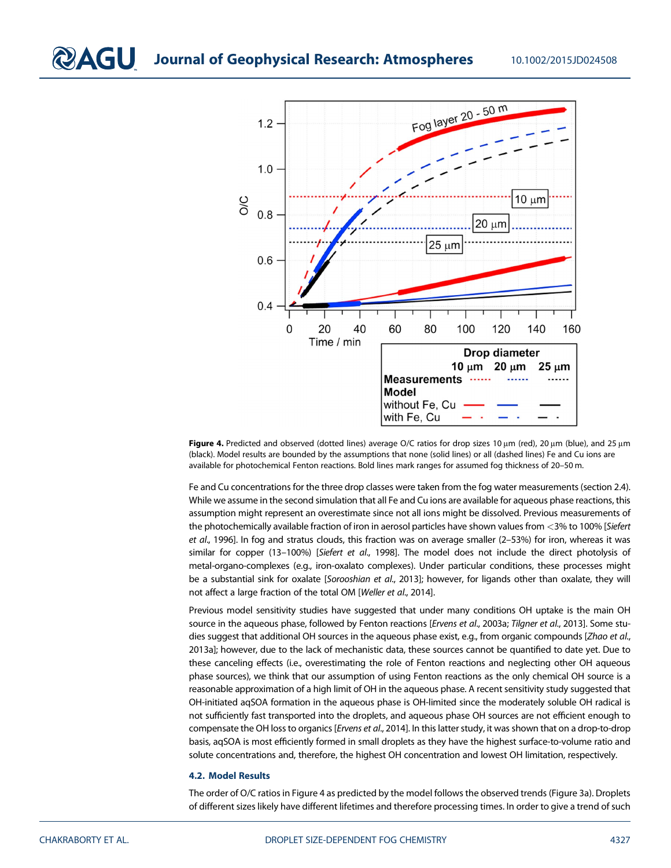

Figure 4. Predicted and observed (dotted lines) average O/C ratios for drop sizes 10  $\mu$ m (red), 20  $\mu$ m (blue), and 25  $\mu$ m (black). Model results are bounded by the assumptions that none (solid lines) or all (dashed lines) Fe and Cu ions are available for photochemical Fenton reactions. Bold lines mark ranges for assumed fog thickness of 20–50 m.

Fe and Cu concentrations for the three drop classes were taken from the fog water measurements (section 2.4). While we assume in the second simulation that all Fe and Cu ions are available for aqueous phase reactions, this assumption might represent an overestimate since not all ions might be dissolved. Previous measurements of the photochemically available fraction of iron in aerosol particles have shown values from <3% to 100% [Siefert et al., 1996]. In fog and stratus clouds, this fraction was on average smaller (2–53%) for iron, whereas it was similar for copper (13-100%) [Siefert et al., 1998]. The model does not include the direct photolysis of metal-organo-complexes (e.g., iron-oxalato complexes). Under particular conditions, these processes might be a substantial sink for oxalate [Sorooshian et al., 2013]; however, for ligands other than oxalate, they will not affect a large fraction of the total OM [Weller et al., 2014].

Previous model sensitivity studies have suggested that under many conditions OH uptake is the main OH source in the aqueous phase, followed by Fenton reactions [Ervens et al., 2003a; Tilgner et al., 2013]. Some studies suggest that additional OH sources in the aqueous phase exist, e.g., from organic compounds [Zhao et al., 2013a]; however, due to the lack of mechanistic data, these sources cannot be quantified to date yet. Due to these canceling effects (i.e., overestimating the role of Fenton reactions and neglecting other OH aqueous phase sources), we think that our assumption of using Fenton reactions as the only chemical OH source is a reasonable approximation of a high limit of OH in the aqueous phase. A recent sensitivity study suggested that OH-initiated aqSOA formation in the aqueous phase is OH-limited since the moderately soluble OH radical is not sufficiently fast transported into the droplets, and aqueous phase OH sources are not efficient enough to compensate the OH loss to organics [Ervens et al., 2014]. In this latter study, it was shown that on a drop-to-drop basis, aqSOA is most efficiently formed in small droplets as they have the highest surface-to-volume ratio and solute concentrations and, therefore, the highest OH concentration and lowest OH limitation, respectively.

#### 4.2. Model Results

The order of O/C ratios in Figure 4 as predicted by the model follows the observed trends (Figure 3a). Droplets of different sizes likely have different lifetimes and therefore processing times. In order to give a trend of such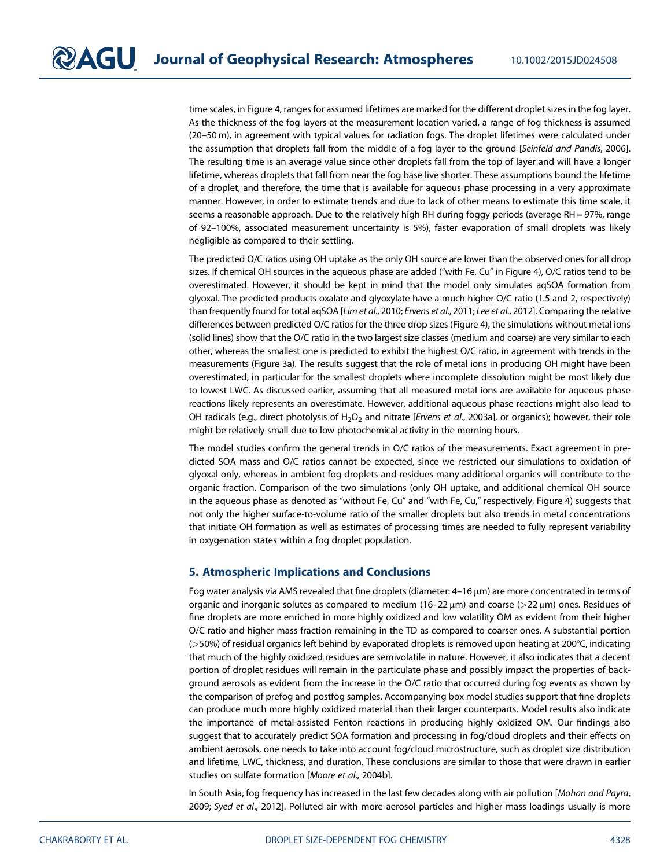time scales, in Figure 4, ranges for assumed lifetimes are marked for the different droplet sizes in the fog layer. As the thickness of the fog layers at the measurement location varied, a range of fog thickness is assumed (20–50 m), in agreement with typical values for radiation fogs. The droplet lifetimes were calculated under the assumption that droplets fall from the middle of a fog layer to the ground [Seinfeld and Pandis, 2006]. The resulting time is an average value since other droplets fall from the top of layer and will have a longer lifetime, whereas droplets that fall from near the fog base live shorter. These assumptions bound the lifetime of a droplet, and therefore, the time that is available for aqueous phase processing in a very approximate manner. However, in order to estimate trends and due to lack of other means to estimate this time scale, it seems a reasonable approach. Due to the relatively high RH during foggy periods (average RH = 97%, range of 92–100%, associated measurement uncertainty is 5%), faster evaporation of small droplets was likely negligible as compared to their settling.

The predicted O/C ratios using OH uptake as the only OH source are lower than the observed ones for all drop sizes. If chemical OH sources in the aqueous phase are added ("with Fe, Cu" in Figure 4), O/C ratios tend to be overestimated. However, it should be kept in mind that the model only simulates aqSOA formation from glyoxal. The predicted products oxalate and glyoxylate have a much higher O/C ratio (1.5 and 2, respectively) than frequently found for total aqSOA [Lim et al., 2010; Ervens et al., 2011; Lee et al., 2012]. Comparing the relative differences between predicted O/C ratios for the three drop sizes (Figure 4), the simulations without metal ions (solid lines) show that the O/C ratio in the two largest size classes (medium and coarse) are very similar to each other, whereas the smallest one is predicted to exhibit the highest O/C ratio, in agreement with trends in the measurements (Figure 3a). The results suggest that the role of metal ions in producing OH might have been overestimated, in particular for the smallest droplets where incomplete dissolution might be most likely due to lowest LWC. As discussed earlier, assuming that all measured metal ions are available for aqueous phase reactions likely represents an overestimate. However, additional aqueous phase reactions might also lead to OH radicals (e.g., direct photolysis of H<sub>2</sub>O<sub>2</sub> and nitrate [Ervens et al., 2003a], or organics); however, their role might be relatively small due to low photochemical activity in the morning hours.

The model studies confirm the general trends in O/C ratios of the measurements. Exact agreement in predicted SOA mass and O/C ratios cannot be expected, since we restricted our simulations to oxidation of glyoxal only, whereas in ambient fog droplets and residues many additional organics will contribute to the organic fraction. Comparison of the two simulations (only OH uptake, and additional chemical OH source in the aqueous phase as denoted as "without Fe, Cu" and "with Fe, Cu," respectively, Figure 4) suggests that not only the higher surface-to-volume ratio of the smaller droplets but also trends in metal concentrations that initiate OH formation as well as estimates of processing times are needed to fully represent variability in oxygenation states within a fog droplet population.

#### 5. Atmospheric Implications and Conclusions

Fog water analysis via AMS revealed that fine droplets (diameter: 4–16 μm) are more concentrated in terms of organic and inorganic solutes as compared to medium  $(16-22 \mu m)$  and coarse  $(22 \mu m)$  ones. Residues of fine droplets are more enriched in more highly oxidized and low volatility OM as evident from their higher O/C ratio and higher mass fraction remaining in the TD as compared to coarser ones. A substantial portion (>50%) of residual organics left behind by evaporated droplets is removed upon heating at 200°C, indicating that much of the highly oxidized residues are semivolatile in nature. However, it also indicates that a decent portion of droplet residues will remain in the particulate phase and possibly impact the properties of background aerosols as evident from the increase in the O/C ratio that occurred during fog events as shown by the comparison of prefog and postfog samples. Accompanying box model studies support that fine droplets can produce much more highly oxidized material than their larger counterparts. Model results also indicate the importance of metal-assisted Fenton reactions in producing highly oxidized OM. Our findings also suggest that to accurately predict SOA formation and processing in fog/cloud droplets and their effects on ambient aerosols, one needs to take into account fog/cloud microstructure, such as droplet size distribution and lifetime, LWC, thickness, and duration. These conclusions are similar to those that were drawn in earlier studies on sulfate formation [Moore et al., 2004b].

In South Asia, fog frequency has increased in the last few decades along with air pollution [Mohan and Payra, 2009; Syed et al., 2012]. Polluted air with more aerosol particles and higher mass loadings usually is more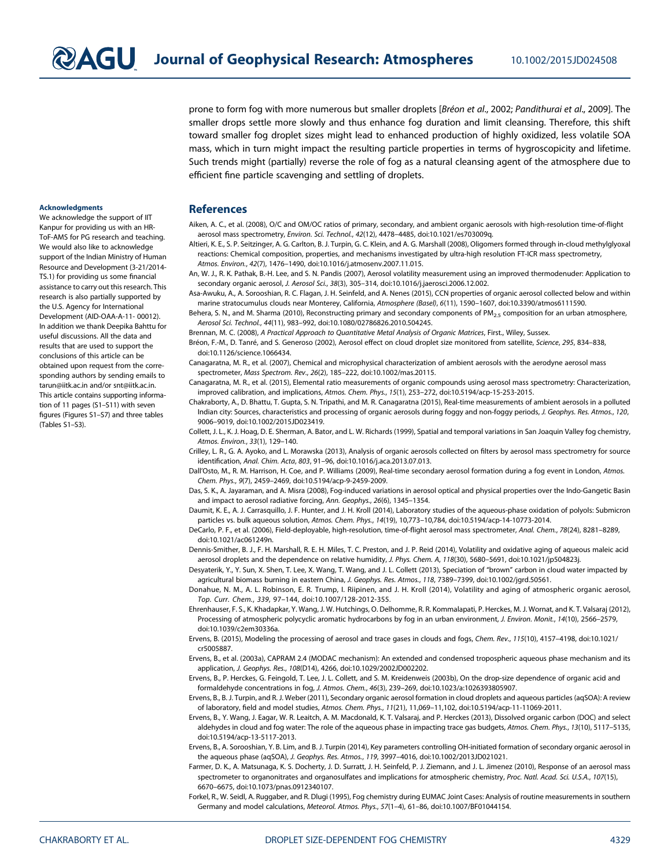prone to form fog with more numerous but smaller droplets [Bréon et al., 2002; Pandithurai et al., 2009]. The smaller drops settle more slowly and thus enhance fog duration and limit cleansing. Therefore, this shift toward smaller fog droplet sizes might lead to enhanced production of highly oxidized, less volatile SOA mass, which in turn might impact the resulting particle properties in terms of hygroscopicity and lifetime. Such trends might (partially) reverse the role of fog as a natural cleansing agent of the atmosphere due to efficient fine particle scavenging and settling of droplets.

#### Acknowledgments

We acknowledge the support of IIT Kanpur for providing us with an HR-ToF-AMS for PG research and teaching. We would also like to acknowledge support of the Indian Ministry of Human Resource and Development (3-21/2014- TS.1) for providing us some financial assistance to carry out this research. This research is also partially supported by the U.S. Agency for International Development (AID-OAA-A-11- 00012). In addition we thank Deepika Bahttu for useful discussions. All the data and results that are used to support the conclusions of this article can be obtained upon request from the corresponding authors by sending emails to tarun@iitk.ac.in and/or snt@iitk.ac.in. This article contains supporting information of 11 pages (S1–S11) with seven figures (Figures S1–S7) and three tables (Tables S1–S3).

#### References

- Aiken, A. C., et al. (2008), O/C and OM/OC ratios of primary, secondary, and ambient organic aerosols with high-resolution time-of-flight aerosol mass spectrometry, Environ. Sci. Technol., 42(12), 4478–4485, doi:10.1021/es703009q.
- Altieri, K. E., S. P. Seitzinger, A. G. Carlton, B. J. Turpin, G. C. Klein, and A. G. Marshall (2008), Oligomers formed through in-cloud methylglyoxal reactions: Chemical composition, properties, and mechanisms investigated by ultra-high resolution FT-ICR mass spectrometry, Atmos. Environ., 42(7), 1476–1490, doi:10.1016/j.atmosenv.2007.11.015.
- An, W. J., R. K. Pathak, B.-H. Lee, and S. N. Pandis (2007), Aerosol volatility measurement using an improved thermodenuder: Application to secondary organic aerosol, J. Aerosol Sci., 38(3), 305–314, doi:10.1016/j.jaerosci.2006.12.002.
- Asa-Awuku, A., A. Sorooshian, R. C. Flagan, J. H. Seinfeld, and A. Nenes (2015), CCN properties of organic aerosol collected below and within marine stratocumulus clouds near Monterey, California, Atmosphere (Basel), 6(11), 1590–1607, doi:10.3390/atmos6111590.
- Behera, S. N., and M. Sharma (2010), Reconstructing primary and secondary components of PM<sub>2.5</sub> composition for an urban atmosphere, Aerosol Sci. Technol., 44(11), 983–992, doi:10.1080/02786826.2010.504245.
- Brennan, M. C. (2008), A Practical Approach to Quantitative Metal Analysis of Organic Matrices, First., Wiley, Sussex.
- Bréon, F.-M., D. Tanré, and S. Generoso (2002), Aerosol effect on cloud droplet size monitored from satellite, Science, 295, 834–838, doi:10.1126/science.1066434.
- Canagaratna, M. R., et al. (2007), Chemical and microphysical characterization of ambient aerosols with the aerodyne aerosol mass spectrometer, Mass Spectrom. Rev., 26(2), 185–222, doi:10.1002/mas.20115.
- Canagaratna, M. R., et al. (2015), Elemental ratio measurements of organic compounds using aerosol mass spectrometry: Characterization, improved calibration, and implications, Atmos. Chem. Phys., 15(1), 253–272, doi:10.5194/acp-15-253-2015.
- Chakraborty, A., D. Bhattu, T. Gupta, S. N. Tripathi, and M. R. Canagaratna (2015), Real-time measurements of ambient aerosols in a polluted Indian city: Sources, characteristics and processing of organic aerosols during foggy and non-foggy periods, J. Geophys. Res. Atmos., 120, 9006–9019, doi:10.1002/2015JD023419.
- Collett, J. L., K. J. Hoag, D. E. Sherman, A. Bator, and L. W. Richards (1999), Spatial and temporal variations in San Joaquin Valley fog chemistry, Atmos. Environ., 33(1), 129–140.
- Crilley, L. R., G. A. Ayoko, and L. Morawska (2013), Analysis of organic aerosols collected on filters by aerosol mass spectrometry for source identification, Anal. Chim. Acta, 803, 91–96, doi:10.1016/j.aca.2013.07.013.
- Dall'Osto, M., R. M. Harrison, H. Coe, and P. Williams (2009), Real-time secondary aerosol formation during a fog event in London, Atmos. Chem. Phys., 9(7), 2459–2469, doi:10.5194/acp-9-2459-2009.
- Das, S. K., A. Jayaraman, and A. Misra (2008), Fog-induced variations in aerosol optical and physical properties over the Indo-Gangetic Basin and impact to aerosol radiative forcing, Ann. Geophys., 26(6), 1345–1354.
- Daumit, K. E., A. J. Carrasquillo, J. F. Hunter, and J. H. Kroll (2014), Laboratory studies of the aqueous-phase oxidation of polyols: Submicron particles vs. bulk aqueous solution, Atmos. Chem. Phys., 14(19), 10,773–10,784, doi:10.5194/acp-14-10773-2014.
- DeCarlo, P. F., et al. (2006), Field-deployable, high-resolution, time-of-flight aerosol mass spectrometer, Anal. Chem., 78(24), 8281-8289, doi:10.1021/ac061249n.
- Dennis-Smither, B. J., F. H. Marshall, R. E. H. Miles, T. C. Preston, and J. P. Reid (2014), Volatility and oxidative aging of aqueous maleic acid aerosol droplets and the dependence on relative humidity, J. Phys. Chem. A, 118(30), 5680-5691, doi:10.1021/jp504823j.
- Desyaterik, Y., Y. Sun, X. Shen, T. Lee, X. Wang, T. Wang, and J. L. Collett (2013), Speciation of "brown" carbon in cloud water impacted by agricultural biomass burning in eastern China, J. Geophys. Res. Atmos., 118, 7389–7399, doi:10.1002/jgrd.50561.
- Donahue, N. M., A. L. Robinson, E. R. Trump, I. Riipinen, and J. H. Kroll (2014), Volatility and aging of atmospheric organic aerosol, Top. Curr. Chem., 339, 97–144, doi:10.1007/128-2012-355.
- Ehrenhauser, F. S., K. Khadapkar, Y. Wang, J. W. Hutchings, O. Delhomme, R. R. Kommalapati, P. Herckes, M. J. Wornat, and K. T. Valsaraj (2012), Processing of atmospheric polycyclic aromatic hydrocarbons by fog in an urban environment, J. Environ. Monit., 14(10), 2566-2579, doi:10.1039/c2em30336a.
- Ervens, B. (2015), Modeling the processing of aerosol and trace gases in clouds and fogs, Chem. Rev., 115(10), 4157–4198, doi:10.1021/ cr5005887.
- Ervens, B., et al. (2003a), CAPRAM 2.4 (MODAC mechanism): An extended and condensed tropospheric aqueous phase mechanism and its application, J. Geophys. Res., 108(D14), 4266, doi:10.1029/2002JD002202.
- Ervens, B., P. Herckes, G. Feingold, T. Lee, J. L. Collett, and S. M. Kreidenweis (2003b), On the drop-size dependence of organic acid and formaldehyde concentrations in fog, J. Atmos. Chem., 46(3), 239–269, doi:10.1023/a:1026393805907.
- Ervens, B., B. J. Turpin, and R. J. Weber (2011), Secondary organic aerosol formation in cloud droplets and aqueous particles (aqSOA): A review of laboratory, field and model studies, Atmos. Chem. Phys., 11(21), 11,069–11,102, doi:10.5194/acp-11-11069-2011.
- Ervens, B., Y. Wang, J. Eagar, W. R. Leaitch, A. M. Macdonald, K. T. Valsaraj, and P. Herckes (2013), Dissolved organic carbon (DOC) and select aldehydes in cloud and fog water: The role of the aqueous phase in impacting trace gas budgets, Atmos. Chem. Phys., 13(10), 5117–5135, doi:10.5194/acp-13-5117-2013.
- Ervens, B., A. Sorooshian, Y. B. Lim, and B. J. Turpin (2014), Key parameters controlling OH-initiated formation of secondary organic aerosol in the aqueous phase (aqSOA), J. Geophys. Res. Atmos., 119, 3997–4016, doi:10.1002/2013JD021021.
- Farmer, D. K., A. Matsunaga, K. S. Docherty, J. D. Surratt, J. H. Seinfeld, P. J. Ziemann, and J. L. Jimenez (2010), Response of an aerosol mass spectrometer to organonitrates and organosulfates and implications for atmospheric chemistry, Proc. Natl. Acad. Sci. U.S.A., 107(15), 6670–6675, doi:10.1073/pnas.0912340107.
- Forkel, R., W. Seidl, A. Ruggaber, and R. Dlugi (1995), Fog chemistry during EUMAC Joint Cases: Analysis of routine measurements in southern Germany and model calculations, Meteorol. Atmos. Phys., 57(1–4), 61–86, doi:10.1007/BF01044154.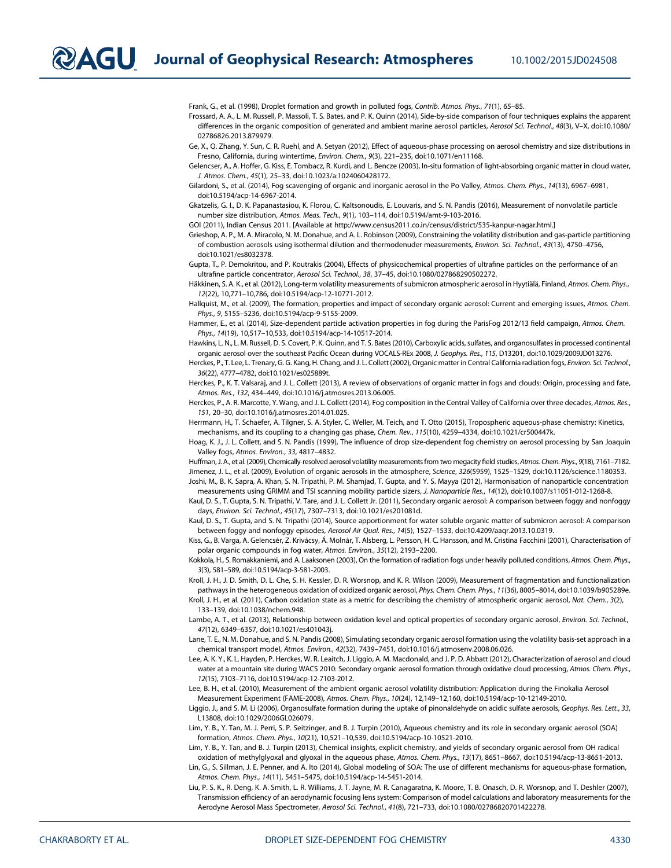$\nabla$  $\blacktriangle G$  Journal of Geophysical Research: Atmospheres 10.1002/2015JD024508

Frank, G., et al. (1998), Droplet formation and growth in polluted fogs, Contrib. Atmos. Phys., 71(1), 65–85.

Frossard, A. A., L. M. Russell, P. Massoli, T. S. Bates, and P. K. Quinn (2014), Side-by-side comparison of four techniques explains the apparent differences in the organic composition of generated and ambient marine aerosol particles, Aerosol Sci. Technol., 48(3), V-X, doi:10.1080/ 02786826.2013.879979.

Ge, X., Q. Zhang, Y. Sun, C. R. Ruehl, and A. Setyan (2012), Effect of aqueous-phase processing on aerosol chemistry and size distributions in Fresno, California, during wintertime, Environ. Chem., 9(3), 221–235, doi:10.1071/en11168.

Gelencser, A., A. Hoffer, G. Kiss, E. Tombacz, R. Kurdi, and L. Bencze (2003), In-situ formation of light-absorbing organic matter in cloud water, J. Atmos. Chem., 45(1), 25–33, doi:10.1023/a:1024060428172.

Gilardoni, S., et al. (2014), Fog scavenging of organic and inorganic aerosol in the Po Valley, Atmos. Chem. Phys., 14(13), 6967–6981, doi:10.5194/acp-14-6967-2014.

Gkatzelis, G. I., D. K. Papanastasiou, K. Florou, C. Kaltsonoudis, E. Louvaris, and S. N. Pandis (2016), Measurement of nonvolatile particle number size distribution, Atmos. Meas. Tech., 9(1), 103–114, doi:10.5194/amt-9-103-2016.

GOI (2011), Indian Census 2011. [Available at http://www.census2011.co.in/census/district/535-kanpur-nagar.html.]

Grieshop, A. P., M. A. Miracolo, N. M. Donahue, and A. L. Robinson (2009), Constraining the volatility distribution and gas-particle partitioning of combustion aerosols using isothermal dilution and thermodenuder measurements, Environ. Sci. Technol., 43(13), 4750–4756, doi:10.1021/es8032378.

Gupta, T., P. Demokritou, and P. Koutrakis (2004), Effects of physicochemical properties of ultrafine particles on the performance of an ultrafine particle concentrator, Aerosol Sci. Technol., 38, 37–45, doi:10.1080/027868290502272.

Häkkinen, S. A. K., et al. (2012), Long-term volatility measurements of submicron atmospheric aerosol in Hyytiälä, Finland, Atmos. Chem. Phys., 12(22), 10,771–10,786, doi:10.5194/acp-12-10771-2012.

Hallquist, M., et al. (2009), The formation, properties and impact of secondary organic aerosol: Current and emerging issues, Atmos. Chem. Phys., 9, 5155–5236, doi:10.5194/acp-9-5155-2009.

Hammer, E., et al. (2014), Size-dependent particle activation properties in fog during the ParisFog 2012/13 field campaign, Atmos. Chem. Phys., 14(19), 10,517–10,533, doi:10.5194/acp-14-10517-2014.

Hawkins, L. N., L. M. Russell, D. S. Covert, P. K. Quinn, and T. S. Bates (2010), Carboxylic acids, sulfates, and organosulfates in processed continental organic aerosol over the southeast Pacific Ocean during VOCALS-REx 2008, J. Geophys. Res., 115, D13201, doi:10.1029/2009JD013276.

Herckes, P., T. Lee, L. Trenary, G. G. Kang, H. Chang, and J. L. Collett (2002), Organic matter in Central California radiation fogs, Environ. Sci. Technol., 36(22), 4777–4782, doi:10.1021/es025889t.

Herckes, P., K. T. Valsaraj, and J. L. Collett (2013), A review of observations of organic matter in fogs and clouds: Origin, processing and fate, Atmos. Res., 132, 434–449, doi:10.1016/j.atmosres.2013.06.005.

Herckes, P., A. R. Marcotte, Y. Wang, and J. L. Collett (2014), Fog composition in the Central Valley of California over three decades, Atmos. Res., 151, 20–30, doi:10.1016/j.atmosres.2014.01.025.

Herrmann, H., T. Schaefer, A. Tilgner, S. A. Styler, C. Weller, M. Teich, and T. Otto (2015), Tropospheric aqueous-phase chemistry: Kinetics, mechanisms, and its coupling to a changing gas phase, Chem. Rev., 115(10), 4259–4334, doi:10.1021/cr500447k.

Hoag, K. J., J. L. Collett, and S. N. Pandis (1999), The influence of drop size-dependent fog chemistry on aerosol processing by San Joaquin Valley fogs, Atmos. Environ., 33, 4817–4832.

Huffman, J. A., et al. (2009), Chemically-resolved aerosol volatility measurements from two megacity field studies, Atmos. Chem. Phys., 9(18), 7161–7182. Jimenez, J. L., et al. (2009), Evolution of organic aerosols in the atmosphere, Science, 326(5959), 1525-1529, doi:10.1126/science.1180353. Joshi, M., B. K. Sapra, A. Khan, S. N. Tripathi, P. M. Shamjad, T. Gupta, and Y. S. Mayya (2012), Harmonisation of nanoparticle concentration

measurements using GRIMM and TSI scanning mobility particle sizers, J. Nanoparticle Res., 14(12), doi:10.1007/s11051-012-1268-8. Kaul, D. S., T. Gupta, S. N. Tripathi, V. Tare, and J. L. Collett Jr. (2011), Secondary organic aerosol: A comparison between foggy and nonfoggy days, Environ. Sci. Technol., 45(17), 7307–7313, doi:10.1021/es201081d.

Kaul, D. S., T. Gupta, and S. N. Tripathi (2014), Source apportionment for water soluble organic matter of submicron aerosol: A comparison between foggy and nonfoggy episodes, Aerosol Air Qual. Res., 14(5), 1527–1533, doi:10.4209/aaqr.2013.10.0319.

Kiss, G., B. Varga, A. Gelencsér, Z. Krivácsy, Á. Molnár, T. Alsberg, L. Persson, H. C. Hansson, and M. Cristina Facchini (2001), Characterisation of polar organic compounds in fog water, Atmos. Environ., 35(12), 2193–2200.

Kokkola, H., S. Romakkaniemi, and A. Laaksonen (2003), On the formation of radiation fogs under heavily polluted conditions, Atmos. Chem. Phys., 3(3), 581–589, doi:10.5194/acp-3-581-2003.

Kroll, J. H., J. D. Smith, D. L. Che, S. H. Kessler, D. R. Worsnop, and K. R. Wilson (2009), Measurement of fragmentation and functionalization pathways in the heterogeneous oxidation of oxidized organic aerosol, Phys. Chem. Chem. Phys., 11(36), 8005–8014, doi:10.1039/b905289e.

Kroll, J. H., et al. (2011), Carbon oxidation state as a metric for describing the chemistry of atmospheric organic aerosol, Nat. Chem., 3(2), 133–139, doi:10.1038/nchem.948.

Lambe, A. T., et al. (2013), Relationship between oxidation level and optical properties of secondary organic aerosol, Environ. Sci. Technol., 47(12), 6349–6357, doi:10.1021/es401043j.

Lane, T. E., N. M. Donahue, and S. N. Pandis (2008), Simulating secondary organic aerosol formation using the volatility basis-set approach in a chemical transport model, Atmos. Environ., 42(32), 7439–7451, doi:10.1016/j.atmosenv.2008.06.026.

Lee, A. K. Y., K. L. Hayden, P. Herckes, W. R. Leaitch, J. Liggio, A. M. Macdonald, and J. P. D. Abbatt (2012), Characterization of aerosol and cloud water at a mountain site during WACS 2010: Secondary organic aerosol formation through oxidative cloud processing, Atmos. Chem. Phys., 12(15), 7103–7116, doi:10.5194/acp-12-7103-2012.

Lee, B. H., et al. (2010), Measurement of the ambient organic aerosol volatility distribution: Application during the Finokalia Aerosol Measurement Experiment (FAME-2008), Atmos. Chem. Phys., 10(24), 12,149–12,160, doi:10.5194/acp-10-12149-2010.

Liggio, J., and S. M. Li (2006), Organosulfate formation during the uptake of pinonaldehyde on acidic sulfate aerosols, Geophys. Res. Lett., 33, L13808, doi:10.1029/2006GL026079.

Lim, Y. B., Y. Tan, M. J. Perri, S. P. Seitzinger, and B. J. Turpin (2010), Aqueous chemistry and its role in secondary organic aerosol (SOA) formation, Atmos. Chem. Phys., 10(21), 10,521–10,539, doi:10.5194/acp-10-10521-2010.

Lim, Y. B., Y. Tan, and B. J. Turpin (2013), Chemical insights, explicit chemistry, and yields of secondary organic aerosol from OH radical oxidation of methylglyoxal and glyoxal in the aqueous phase, Atmos. Chem. Phys., 13(17), 8651–8667, doi:10.5194/acp-13-8651-2013.

Lin, G., S. Sillman, J. E. Penner, and A. Ito (2014), Global modeling of SOA: The use of different mechanisms for aqueous-phase formation, Atmos. Chem. Phys., 14(11), 5451–5475, doi:10.5194/acp-14-5451-2014.

Liu, P. S. K., R. Deng, K. A. Smith, L. R. Williams, J. T. Jayne, M. R. Canagaratna, K. Moore, T. B. Onasch, D. R. Worsnop, and T. Deshler (2007), Transmission efficiency of an aerodynamic focusing lens system: Comparison of model calculations and laboratory measurements for the Aerodyne Aerosol Mass Spectrometer, Aerosol Sci. Technol., 41(8), 721–733, doi:10.1080/02786820701422278.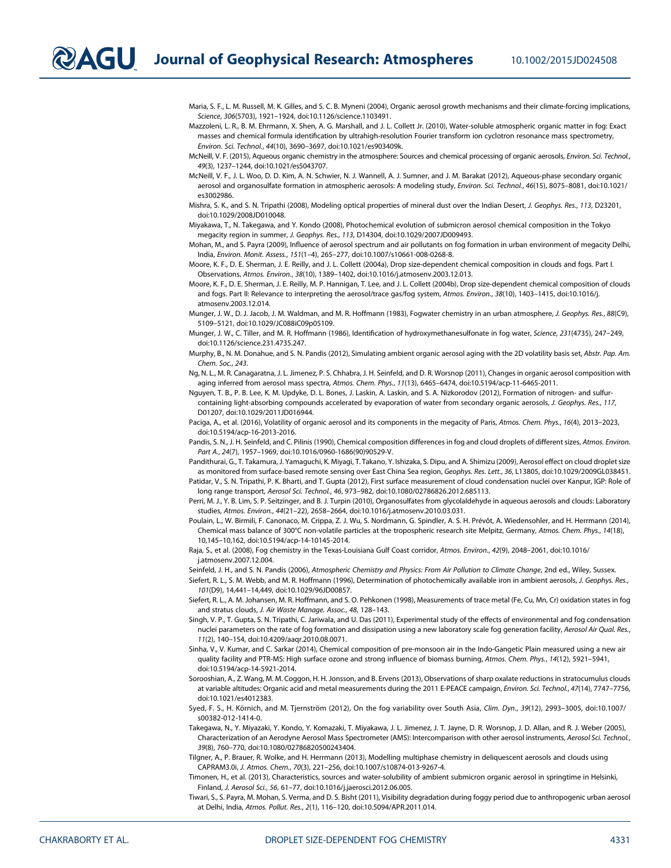Maria, S. F., L. M. Russell, M. K. Gilles, and S. C. B. Myneni (2004), Organic aerosol growth mechanisms and their climate-forcing implications, Science, 306(5703), 1921–1924, doi:10.1126/science.1103491.

Mazzoleni, L. R., B. M. Ehrmann, X. Shen, A. G. Marshall, and J. L. Collett Jr. (2010), Water-soluble atmospheric organic matter in fog: Exact masses and chemical formula identification by ultrahigh-resolution Fourier transform ion cyclotron resonance mass spectrometry, Environ. Sci. Technol., 44(10), 3690–3697, doi:10.1021/es903409k.

- McNeill, V. F. (2015), Aqueous organic chemistry in the atmosphere: Sources and chemical processing of organic aerosols, Environ. Sci. Technol., 49(3), 1237–1244, doi:10.1021/es5043707.
- McNeill, V. F., J. L. Woo, D. D. Kim, A. N. Schwier, N. J. Wannell, A. J. Sumner, and J. M. Barakat (2012), Aqueous-phase secondary organic aerosol and organosulfate formation in atmospheric aerosols: A modeling study, Environ. Sci. Technol., 46(15), 8075–8081, doi:10.1021/ es3002986.
- Mishra, S. K., and S. N. Tripathi (2008), Modeling optical properties of mineral dust over the Indian Desert, J. Geophys. Res., 113, D23201, doi:10.1029/2008JD010048.
- Miyakawa, T., N. Takegawa, and Y. Kondo (2008), Photochemical evolution of submicron aerosol chemical composition in the Tokyo megacity region in summer, J. Geophys. Res., 113, D14304, doi:10.1029/2007JD009493.
- Mohan, M., and S. Payra (2009), Influence of aerosol spectrum and air pollutants on fog formation in urban environment of megacity Delhi, India, Environ. Monit. Assess., 151(1–4), 265–277, doi:10.1007/s10661-008-0268-8.

Moore, K. F., D. E. Sherman, J. E. Reilly, and J. L. Collett (2004a), Drop size-dependent chemical composition in clouds and fogs. Part I. Observations, Atmos. Environ., 38(10), 1389–1402, doi:10.1016/j.atmosenv.2003.12.013.

Moore, K. F., D. E. Sherman, J. E. Reilly, M. P. Hannigan, T. Lee, and J. L. Collett (2004b), Drop size-dependent chemical composition of clouds and fogs. Part II: Relevance to interpreting the aerosol/trace gas/fog system, Atmos. Environ., 38(10), 1403–1415, doi:10.1016/j. atmosenv.2003.12.014.

Munger, J. W., D. J. Jacob, J. M. Waldman, and M. R. Hoffmann (1983), Fogwater chemistry in an urban atmosphere, J. Geophys. Res., 88(C9), 5109–5121, doi:10.1029/JC088iC09p05109.

- Munger, J. W., C. Tiller, and M. R. Hoffmann (1986), Identification of hydroxymethanesulfonate in fog water, Science, 231(4735), 247–249, doi:10.1126/science.231.4735.247.
- Murphy, B., N. M. Donahue, and S. N. Pandis (2012), Simulating ambient organic aerosol aging with the 2D volatility basis set, Abstr. Pap. Am. Chem. Soc., 243.
- Ng, N. L., M. R. Canagaratna, J. L. Jimenez, P. S. Chhabra, J. H. Seinfeld, and D. R. Worsnop (2011), Changes in organic aerosol composition with aging inferred from aerosol mass spectra, Atmos. Chem. Phys., 11(13), 6465–6474, doi:10.5194/acp-11-6465-2011.
- Nguyen, T. B., P. B. Lee, K. M. Updyke, D. L. Bones, J. Laskin, A. Laskin, and S. A. Nizkorodov (2012), Formation of nitrogen- and sulfurcontaining light-absorbing compounds accelerated by evaporation of water from secondary organic aerosols, J. Geophys. Res., 117, D01207, doi:10.1029/2011JD016944.
- Paciga, A., et al. (2016), Volatility of organic aerosol and its components in the megacity of Paris, Atmos. Chem. Phys., 16(4), 2013-2023, doi:10.5194/acp-16-2013-2016.

Pandis, S. N., J. H. Seinfeld, and C. Pilinis (1990), Chemical composition differences in fog and cloud droplets of different sizes, Atmos. Environ. Part A., 24(7), 1957–1969, doi:10.1016/0960-1686(90)90529-V.

Pandithurai, G., T. Takamura, J. Yamaguchi, K. Miyagi, T. Takano, Y. Ishizaka, S. Dipu, and A. Shimizu (2009), Aerosol effect on cloud droplet size as monitored from surface-based remote sensing over East China Sea region, Geophys. Res. Lett., 36, L13805, doi:10.1029/2009GL038451.

Patidar, V., S. N. Tripathi, P. K. Bharti, and T. Gupta (2012), First surface measurement of cloud condensation nuclei over Kanpur, IGP: Role of long range transport, Aerosol Sci. Technol., 46, 973–982, doi:10.1080/02786826.2012.685113.

Perri, M. J., Y. B. Lim, S. P. Seitzinger, and B. J. Turpin (2010), Organosulfates from glycolaldehyde in aqueous aerosols and clouds: Laboratory studies, Atmos. Environ., 44(21–22), 2658–2664, doi:10.1016/j.atmosenv.2010.03.031.

Poulain, L., W. Birmili, F. Canonaco, M. Crippa, Z. J. Wu, S. Nordmann, G. Spindler, A. S. H. Prévôt, A. Wiedensohler, and H. Herrmann (2014), Chemical mass balance of 300°C non-volatile particles at the tropospheric research site Melpitz, Germany, Atmos. Chem. Phys., 14(18), 10,145–10,162, doi:10.5194/acp-14-10145-2014.

Raja, S., et al. (2008), Fog chemistry in the Texas-Louisiana Gulf Coast corridor, Atmos. Environ., 42(9), 2048–2061, doi:10.1016/ j.atmosenv.2007.12.004.

Seinfeld, J. H., and S. N. Pandis (2006), Atmospheric Chemistry and Physics: From Air Pollution to Climate Change, 2nd ed., Wiley, Sussex.

Siefert, R. L., S. M. Webb, and M. R. Hoffmann (1996), Determination of photochemically available iron in ambient aerosols, J. Geophys. Res., 101(D9), 14,441–14,449, doi:10.1029/96JD00857.

Siefert, R. L., A. M. Johansen, M. R. Hoffmann, and S. O. Pehkonen (1998), Measurements of trace metal (Fe, Cu, Mn, Cr) oxidation states in fog and stratus clouds, J. Air Waste Manage. Assoc., 48, 128–143.

- Singh, V. P., T. Gupta, S. N. Tripathi, C. Jariwala, and U. Das (2011), Experimental study of the effects of environmental and fog condensation nuclei parameters on the rate of fog formation and dissipation using a new laboratory scale fog generation facility, Aerosol Air Qual. Res., 11(2), 140–154, doi:10.4209/aaqr.2010.08.0071.
- Sinha, V., V. Kumar, and C. Sarkar (2014), Chemical composition of pre-monsoon air in the Indo-Gangetic Plain measured using a new air quality facility and PTR-MS: High surface ozone and strong influence of biomass burning, Atmos. Chem. Phys., 14(12), 5921–5941, doi:10.5194/acp-14-5921-2014.
- Sorooshian, A., Z. Wang, M. M. Coggon, H. H. Jonsson, and B. Ervens (2013), Observations of sharp oxalate reductions in stratocumulus clouds at variable altitudes: Organic acid and metal measurements during the 2011 E-PEACE campaign, Environ. Sci. Technol., 47(14), 7747–7756, doi:10.1021/es4012383.
- Syed, F. S., H. Körnich, and M. Tjernström (2012), On the fog variability over South Asia, Clim. Dyn., 39(12), 2993–3005, doi:10.1007/ s00382-012-1414-0.
- Takegawa, N., Y. Miyazaki, Y. Kondo, Y. Komazaki, T. Miyakawa, J. L. Jimenez, J. T. Jayne, D. R. Worsnop, J. D. Allan, and R. J. Weber (2005), Characterization of an Aerodyne Aerosol Mass Spectrometer (AMS): Intercomparison with other aerosol instruments, Aerosol Sci. Technol., 39(8), 760–770, doi:10.1080/02786820500243404.
- Tilgner, A., P. Brauer, R. Wolke, and H. Herrmann (2013), Modelling multiphase chemistry in deliquescent aerosols and clouds using CAPRAM3.0i, J. Atmos. Chem., 70(3), 221–256, doi:10.1007/s10874-013-9267-4.
- Timonen, H., et al. (2013), Characteristics, sources and water-solubility of ambient submicron organic aerosol in springtime in Helsinki, Finland, J. Aerosol Sci., 56, 61–77, doi:10.1016/j.jaerosci.2012.06.005.
- Tiwari, S., S. Payra, M. Mohan, S. Verma, and D. S. Bisht (2011), Visibility degradation during foggy period due to anthropogenic urban aerosol at Delhi, India, Atmos. Pollut. Res., 2(1), 116–120, doi:10.5094/APR.2011.014.